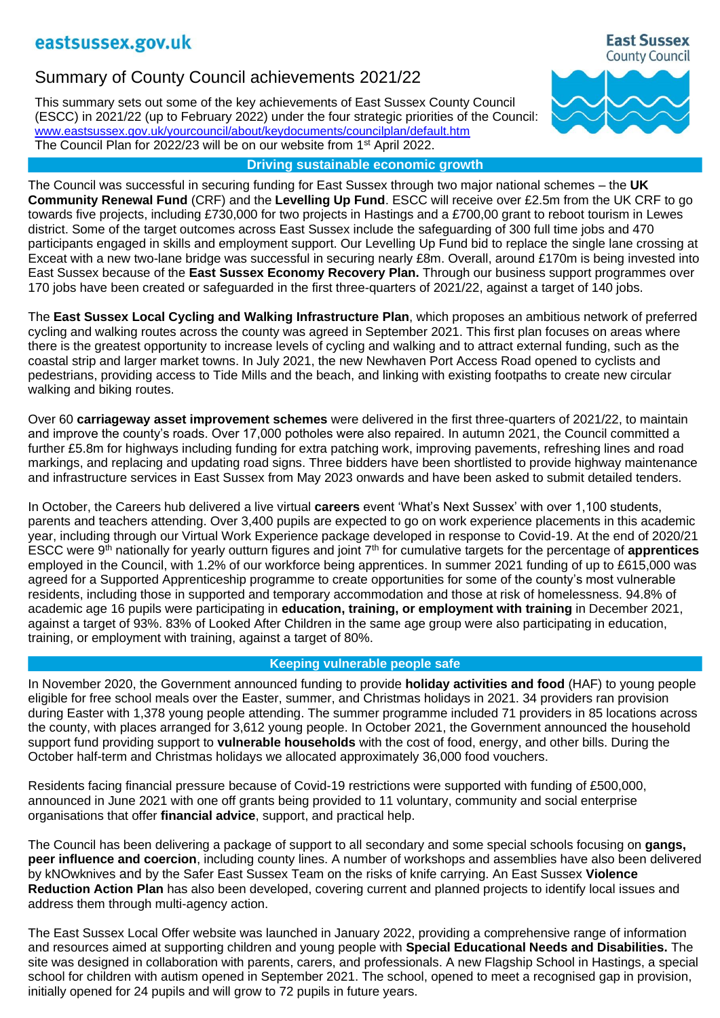# Summary of County Council achievements 2021/22

This summary sets out some of the key achievements of East Sussex County Council (ESCC) in 2021/22 (up to February 2022) under the four strategic priorities of the Council: [www.eastsussex.gov.uk/yourcouncil/about/keydocuments/councilplan/default.htm](http://www.eastsussex.gov.uk/yourcouncil/about/keydocuments/councilplan/default.htm) The Council Plan for 2022/23 will be on our website from 1<sup>st</sup> April 2022.

## **Driving sustainable economic growth**

The Council was successful in securing funding for East Sussex through two major national schemes – the **UK Community Renewal Fund** (CRF) and the **Levelling Up Fund**. ESCC will receive over £2.5m from the UK CRF to go towards five projects, including £730,000 for two projects in Hastings and a £700,00 grant to reboot tourism in Lewes district. Some of the target outcomes across East Sussex include the safeguarding of 300 full time jobs and 470 participants engaged in skills and employment support. Our Levelling Up Fund bid to replace the single lane crossing at Exceat with a new two-lane bridge was successful in securing nearly £8m. Overall, around £170m is being invested into East Sussex because of the **East Sussex Economy Recovery Plan.** Through our business support programmes over 170 jobs have been created or safeguarded in the first three-quarters of 2021/22, against a target of 140 jobs.

The **East Sussex Local Cycling and Walking Infrastructure Plan**, which proposes an ambitious network of preferred cycling and walking routes across the county was agreed in September 2021. This first plan focuses on areas where there is the greatest opportunity to increase levels of cycling and walking and to attract external funding, such as the coastal strip and larger market towns. In July 2021, the new Newhaven Port Access Road opened to cyclists and pedestrians, providing access to Tide Mills and the beach, and linking with existing footpaths to create new circular walking and biking routes.

Over 60 **carriageway asset improvement schemes** were delivered in the first three-quarters of 2021/22, to maintain and improve the county's roads. Over 17,000 potholes were also repaired. In autumn 2021, the Council committed a further £5.8m for highways including funding for extra patching work, improving pavements, refreshing lines and road markings, and replacing and updating road signs. Three bidders have been shortlisted to provide highway maintenance and infrastructure services in East Sussex from May 2023 onwards and have been asked to submit detailed tenders.

In October, the Careers hub delivered a live virtual **careers** event 'What's Next Sussex' with over 1,100 students, parents and teachers attending. Over 3,400 pupils are expected to go on work experience placements in this academic year, including through our Virtual Work Experience package developed in response to Covid-19. At the end of 2020/21 ESCC were 9th nationally for yearly outturn figures and joint 7th for cumulative targets for the percentage of **apprentices** employed in the Council, with 1.2% of our workforce being apprentices. In summer 2021 funding of up to £615,000 was agreed for a Supported Apprenticeship programme to create opportunities for some of the county's most vulnerable residents, including those in supported and temporary accommodation and those at risk of homelessness. 94.8% of academic age 16 pupils were participating in **education, training, or employment with training** in December 2021, against a target of 93%. 83% of Looked After Children in the same age group were also participating in education, training, or employment with training, against a target of 80%.

## **Keeping vulnerable people safe**

In November 2020, the Government announced funding to provide **holiday activities and food** (HAF) to young people eligible for free school meals over the Easter, summer, and Christmas holidays in 2021. 34 providers ran provision during Easter with 1,378 young people attending. The summer programme included 71 providers in 85 locations across the county, with places arranged for 3,612 young people. In October 2021, the Government announced the household support fund providing support to **vulnerable households** with the cost of food, energy, and other bills. During the October half-term and Christmas holidays we allocated approximately 36,000 food vouchers.

Residents facing financial pressure because of Covid-19 restrictions were supported with funding of £500,000, announced in June 2021 with one off grants being provided to 11 voluntary, community and social enterprise organisations that offer **financial advice**, support, and practical help.

The Council has been delivering a package of support to all secondary and some special schools focusing on **gangs, peer influence and coercion**, including county lines. A number of workshops and assemblies have also been delivered by kNOwknives and by the Safer East Sussex Team on the risks of knife carrying. An East Sussex **Violence Reduction Action Plan** has also been developed, covering current and planned projects to identify local issues and address them through multi-agency action.

The East Sussex Local Offer website was launched in January 2022, providing a comprehensive range of information and resources aimed at supporting children and young people with **Special Educational Needs and Disabilities.** The site was designed in collaboration with parents, carers, and professionals. A new Flagship School in Hastings, a special school for children with autism opened in September 2021. The school, opened to meet a recognised gap in provision, initially opened for 24 pupils and will grow to 72 pupils in future years.